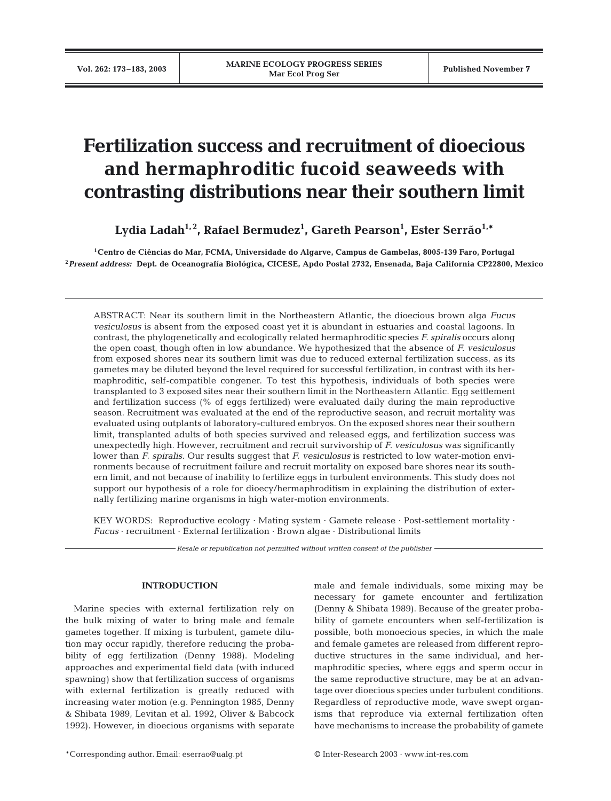# **Fertilization success and recruitment of dioecious and hermaphroditic fucoid seaweeds with contrasting distributions near their southern limit**

Lydia Ladah<sup>1,2</sup>, Rafael Bermudez<sup>1</sup>, Gareth Pearson<sup>1</sup>, Ester Serrão<sup>1,</sup>\*

**1Centro de Ciências do Mar, FCMA, Universidade do Algarve, Campus de Gambelas, 8005-139 Faro, Portugal <sup>2</sup>***Present address:* **Dept. de Oceanografía Biológica, CICESE, Apdo Postal 2732, Ensenada, Baja California CP22800, Mexico**

ABSTRACT: Near its southern limit in the Northeastern Atlantic, the dioecious brown alga *Fucus vesiculosus* is absent from the exposed coast yet it is abundant in estuaries and coastal lagoons. In contrast, the phylogenetically and ecologically related hermaphroditic species *F. spiralis* occurs along the open coast, though often in low abundance. We hypothesized that the absence of *F. vesiculosus* from exposed shores near its southern limit was due to reduced external fertilization success, as its gametes may be diluted beyond the level required for successful fertilization, in contrast with its hermaphroditic, self-compatible congener. To test this hypothesis, individuals of both species were transplanted to 3 exposed sites near their southern limit in the Northeastern Atlantic. Egg settlement and fertilization success (% of eggs fertilized) were evaluated daily during the main reproductive season. Recruitment was evaluated at the end of the reproductive season, and recruit mortality was evaluated using outplants of laboratory-cultured embryos. On the exposed shores near their southern limit, transplanted adults of both species survived and released eggs, and fertilization success was unexpectedly high. However, recruitment and recruit survivorship of *F. vesiculosus* was significantly lower than *F. spiralis.* Our results suggest that *F. vesiculosus* is restricted to low water-motion environments because of recruitment failure and recruit mortality on exposed bare shores near its southern limit, and not because of inability to fertilize eggs in turbulent environments. This study does not support our hypothesis of a role for dioecy/hermaphroditism in explaining the distribution of externally fertilizing marine organisms in high water-motion environments.

KEY WORDS: Reproductive ecology · Mating system · Gamete release · Post-settlement mortality · *Fucus* · recruitment · External fertilization · Brown algae · Distributional limits

*Resale or republication not permitted without written consent of the publisher*

# **INTRODUCTION**

Marine species with external fertilization rely on the bulk mixing of water to bring male and female gametes together. If mixing is turbulent, gamete dilution may occur rapidly, therefore reducing the probability of egg fertilization (Denny 1988). Modeling approaches and experimental field data (with induced spawning) show that fertilization success of organisms with external fertilization is greatly reduced with increasing water motion (e.g. Pennington 1985, Denny & Shibata 1989, Levitan et al. 1992, Oliver & Babcock 1992). However, in dioecious organisms with separate male and female individuals, some mixing may be necessary for gamete encounter and fertilization (Denny & Shibata 1989). Because of the greater probability of gamete encounters when self-fertilization is possible, both monoecious species, in which the male and female gametes are released from different reproductive structures in the same individual, and hermaphroditic species, where eggs and sperm occur in the same reproductive structure, may be at an advantage over dioecious species under turbulent conditions. Regardless of reproductive mode, wave swept organisms that reproduce via external fertilization often have mechanisms to increase the probability of gamete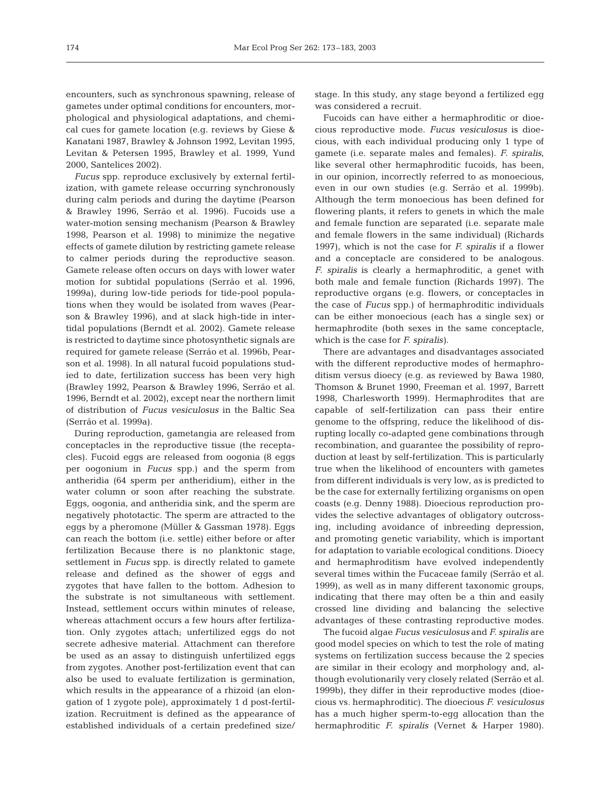encounters, such as synchronous spawning, release of gametes under optimal conditions for encounters, morphological and physiological adaptations, and chemical cues for gamete location (e.g. reviews by Giese & Kanatani 1987, Brawley & Johnson 1992, Levitan 1995, Levitan & Petersen 1995, Brawley et al. 1999, Yund 2000, Santelices 2002).

*Fucus* spp. reproduce exclusively by external fertilization, with gamete release occurring synchronously during calm periods and during the daytime (Pearson & Brawley 1996, Serrão et al. 1996). Fucoids use a water-motion sensing mechanism (Pearson & Brawley 1998, Pearson et al. 1998) to minimize the negative effects of gamete dilution by restricting gamete release to calmer periods during the reproductive season. Gamete release often occurs on days with lower water motion for subtidal populations (Serrão et al. 1996, 1999a), during low-tide periods for tide-pool populations when they would be isolated from waves (Pearson & Brawley 1996), and at slack high-tide in intertidal populations (Berndt et al. 2002). Gamete release is restricted to daytime since photosynthetic signals are required for gamete release (Serrão et al. 1996b, Pearson et al. 1998). In all natural fucoid populations studied to date, fertilization success has been very high (Brawley 1992, Pearson & Brawley 1996, Serrão et al. 1996, Berndt et al. 2002), except near the northern limit of distribution of *Fucus vesiculosus* in the Baltic Sea (Serrão et al. 1999a).

During reproduction, gametangia are released from conceptacles in the reproductive tissue (the receptacles). Fucoid eggs are released from oogonia (8 eggs per oogonium in *Fucus* spp.) and the sperm from antheridia (64 sperm per antheridium), either in the water column or soon after reaching the substrate. Eggs, oogonia, and antheridia sink, and the sperm are negatively phototactic. The sperm are attracted to the eggs by a pheromone (Müller & Gassman 1978). Eggs can reach the bottom (i.e. settle) either before or after fertilization Because there is no planktonic stage, settlement in *Fucus* spp. is directly related to gamete release and defined as the shower of eggs and zygotes that have fallen to the bottom. Adhesion to the substrate is not simultaneous with settlement. Instead, settlement occurs within minutes of release, whereas attachment occurs a few hours after fertilization. Only zygotes attach; unfertilized eggs do not secrete adhesive material. Attachment can therefore be used as an assay to distinguish unfertilized eggs from zygotes. Another post-fertilization event that can also be used to evaluate fertilization is germination, which results in the appearance of a rhizoid (an elongation of 1 zygote pole), approximately 1 d post-fertilization. Recruitment is defined as the appearance of established individuals of a certain predefined size/ stage. In this study, any stage beyond a fertilized egg was considered a recruit.

Fucoids can have either a hermaphroditic or dioecious reproductive mode. *Fucus vesiculosus* is dioecious, with each individual producing only 1 type of gamete (i.e. separate males and females). *F. spiralis*, like several other hermaphroditic fucoids, has been, in our opinion, incorrectly referred to as monoecious, even in our own studies (e.g. Serrão et al. 1999b). Although the term monoecious has been defined for flowering plants, it refers to genets in which the male and female function are separated (i.e. separate male and female flowers in the same individual) (Richards 1997), which is not the case for *F. spiralis* if a flower and a conceptacle are considered to be analogous. *F. spiralis* is clearly a hermaphroditic, a genet with both male and female function (Richards 1997). The reproductive organs (e.g. flowers, or conceptacles in the case of *Fucus* spp.) of hermaphroditic individuals can be either monoecious (each has a single sex) or hermaphrodite (both sexes in the same conceptacle, which is the case for *F. spiralis)*.

There are advantages and disadvantages associated with the different reproductive modes of hermaphroditism versus dioecy (e.g. as reviewed by Bawa 1980, Thomson & Brunet 1990, Freeman et al. 1997, Barrett 1998, Charlesworth 1999). Hermaphrodites that are capable of self-fertilization can pass their entire genome to the offspring, reduce the likelihood of disrupting locally co-adapted gene combinations through recombination, and guarantee the possibility of reproduction at least by self-fertilization. This is particularly true when the likelihood of encounters with gametes from different individuals is very low, as is predicted to be the case for externally fertilizing organisms on open coasts (e.g. Denny 1988). Dioecious reproduction provides the selective advantages of obligatory outcrossing, including avoidance of inbreeding depression, and promoting genetic variability, which is important for adaptation to variable ecological conditions. Dioecy and hermaphroditism have evolved independently several times within the Fucaceae family (Serrão et al. 1999), as well as in many different taxonomic groups, indicating that there may often be a thin and easily crossed line dividing and balancing the selective advantages of these contrasting reproductive modes.

The fucoid algae *Fucus vesiculosus* and *F. spiralis* are good model species on which to test the role of mating systems on fertilization success because the 2 species are similar in their ecology and morphology and, although evolutionarily very closely related (Serrão et al. 1999b), they differ in their reproductive modes (dioecious vs. hermaphroditic). The dioecious *F. vesiculosus* has a much higher sperm-to-egg allocation than the hermaphroditic *F. spiralis* (Vernet & Harper 1980).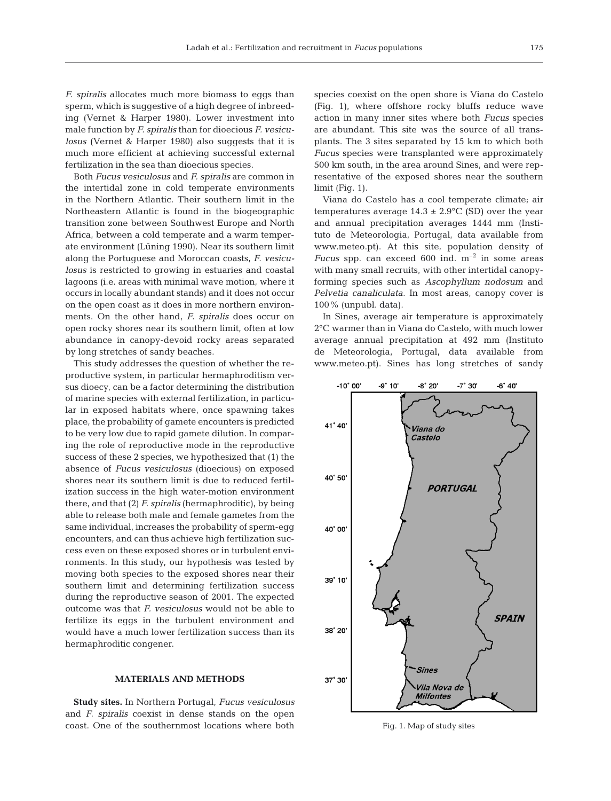*F. spiralis* allocates much more biomass to eggs than sperm, which is suggestive of a high degree of inbreeding (Vernet & Harper 1980). Lower investment into male function by *F. spiralis* than for dioecious *F. vesiculosus* (Vernet & Harper 1980) also suggests that it is much more efficient at achieving successful external fertilization in the sea than dioecious species.

Both *Fucus vesiculosus* and *F. spiralis* are common in the intertidal zone in cold temperate environments in the Northern Atlantic. Their southern limit in the Northeastern Atlantic is found in the biogeographic transition zone between Southwest Europe and North Africa, between a cold temperate and a warm temperate environment (Lüning 1990). Near its southern limit along the Portuguese and Moroccan coasts, *F. vesiculosus* is restricted to growing in estuaries and coastal lagoons (i.e. areas with minimal wave motion, where it occurs in locally abundant stands) and it does not occur on the open coast as it does in more northern environments. On the other hand, *F. spiralis* does occur on open rocky shores near its southern limit, often at low abundance in canopy-devoid rocky areas separated by long stretches of sandy beaches.

This study addresses the question of whether the reproductive system, in particular hermaphroditism versus dioecy, can be a factor determining the distribution of marine species with external fertilization, in particular in exposed habitats where, once spawning takes place, the probability of gamete encounters is predicted to be very low due to rapid gamete dilution. In comparing the role of reproductive mode in the reproductive success of these 2 species, we hypothesized that (1) the absence of *Fucus vesiculosus* (dioecious) on exposed shores near its southern limit is due to reduced fertilization success in the high water-motion environment there, and that (2) *F. spiralis* (hermaphroditic), by being able to release both male and female gametes from the same individual, increases the probability of sperm-egg encounters, and can thus achieve high fertilization success even on these exposed shores or in turbulent environments. In this study, our hypothesis was tested by moving both species to the exposed shores near their southern limit and determining fertilization success during the reproductive season of 2001. The expected outcome was that *F. vesiculosus* would not be able to fertilize its eggs in the turbulent environment and would have a much lower fertilization success than its hermaphroditic congener.

# **MATERIALS AND METHODS**

**Study sites.** In Northern Portugal, *Fucus vesiculosus* and *F. spiralis* coexist in dense stands on the open coast. One of the southernmost locations where both

species coexist on the open shore is Viana do Castelo (Fig. 1), where offshore rocky bluffs reduce wave action in many inner sites where both *Fucus* species are abundant. This site was the source of all transplants. The 3 sites separated by 15 km to which both *Fucus* species were transplanted were approximately 500 km south, in the area around Sines, and were representative of the exposed shores near the southern limit (Fig. 1).

Viana do Castelo has a cool temperate climate; air temperatures average  $14.3 \pm 2.9^{\circ}$ C (SD) over the year and annual precipitation averages 1444 mm (Instituto de Meteorologia, Portugal, data available from www.meteo.pt). At this site, population density of *Fucus* spp. can exceed 600 ind. m<sup>-2</sup> in some areas with many small recruits, with other intertidal canopyforming species such as *Ascophyllum nodosum* and *Pelvetia canaliculata*. In most areas, canopy cover is 100% (unpubl. data).

In Sines, average air temperature is approximately 2°C warmer than in Viana do Castelo, with much lower average annual precipitation at 492 mm (Instituto de Meteorologia, Portugal, data available from www.meteo.pt). Sines has long stretches of sandy



Fig. 1. Map of study sites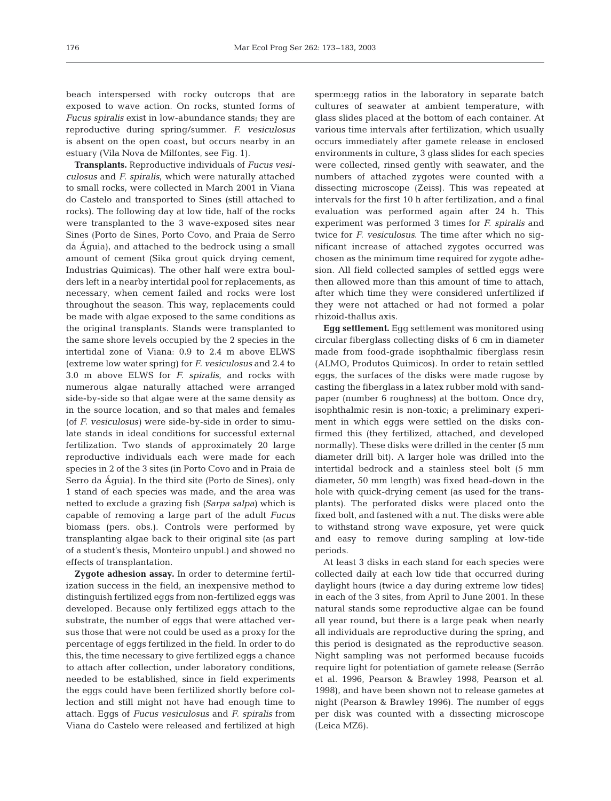beach interspersed with rocky outcrops that are exposed to wave action. On rocks, stunted forms of *Fucus spiralis* exist in low-abundance stands; they are reproductive during spring/summer. *F. vesiculosus* is absent on the open coast, but occurs nearby in an estuary (Vila Nova de Milfontes, see Fig. 1).

**Transplants.** Reproductive individuals of *Fucus vesiculosus* and *F. spiralis,* which were naturally attached to small rocks, were collected in March 2001 in Viana do Castelo and transported to Sines (still attached to rocks). The following day at low tide, half of the rocks were transplanted to the 3 wave-exposed sites near Sines (Porto de Sines, Porto Covo, and Praia de Serro da Águia), and attached to the bedrock using a small amount of cement (Sika grout quick drying cement, Industrias Quimicas). The other half were extra boulders left in a nearby intertidal pool for replacements, as necessary, when cement failed and rocks were lost throughout the season. This way, replacements could be made with algae exposed to the same conditions as the original transplants. Stands were transplanted to the same shore levels occupied by the 2 species in the intertidal zone of Viana: 0.9 to 2.4 m above ELWS (extreme low water spring) for *F. vesiculosus* and 2.4 to 3.0 m above ELWS for *F. spiralis*, and rocks with numerous algae naturally attached were arranged side-by-side so that algae were at the same density as in the source location, and so that males and females (of *F. vesiculosus)* were side-by-side in order to simulate stands in ideal conditions for successful external fertilization. Two stands of approximately 20 large reproductive individuals each were made for each species in 2 of the 3 sites (in Porto Covo and in Praia de Serro da Águia). In the third site (Porto de Sines), only 1 stand of each species was made, and the area was netted to exclude a grazing fish *(Sarpa salpa)* which is capable of removing a large part of the adult *Fucus* biomass (pers. obs.). Controls were performed by transplanting algae back to their original site (as part of a student's thesis, Monteiro unpubl.) and showed no effects of transplantation.

**Zygote adhesion assay.** In order to determine fertilization success in the field, an inexpensive method to distinguish fertilized eggs from non-fertilized eggs was developed. Because only fertilized eggs attach to the substrate, the number of eggs that were attached versus those that were not could be used as a proxy for the percentage of eggs fertilized in the field. In order to do this, the time necessary to give fertilized eggs a chance to attach after collection, under laboratory conditions, needed to be established, since in field experiments the eggs could have been fertilized shortly before collection and still might not have had enough time to attach. Eggs of *Fucus vesiculosus* and *F. spiralis* from Viana do Castelo were released and fertilized at high

sperm:egg ratios in the laboratory in separate batch cultures of seawater at ambient temperature, with glass slides placed at the bottom of each container. At various time intervals after fertilization, which usually occurs immediately after gamete release in enclosed environments in culture, 3 glass slides for each species were collected, rinsed gently with seawater, and the numbers of attached zygotes were counted with a dissecting microscope (Zeiss). This was repeated at intervals for the first 10 h after fertilization, and a final evaluation was performed again after 24 h. This experiment was performed 3 times for *F. spiralis* and twice for *F. vesiculosus*. The time after which no significant increase of attached zygotes occurred was chosen as the minimum time required for zygote adhesion. All field collected samples of settled eggs were then allowed more than this amount of time to attach, after which time they were considered unfertilized if they were not attached or had not formed a polar rhizoid-thallus axis.

**Egg settlement.** Egg settlement was monitored using circular fiberglass collecting disks of 6 cm in diameter made from food-grade isophthalmic fiberglass resin (ALMO, Produtos Quimicos). In order to retain settled eggs, the surfaces of the disks were made rugose by casting the fiberglass in a latex rubber mold with sandpaper (number 6 roughness) at the bottom. Once dry, isophthalmic resin is non-toxic; a preliminary experiment in which eggs were settled on the disks confirmed this (they fertilized, attached, and developed normally). These disks were drilled in the center (5 mm diameter drill bit). A larger hole was drilled into the intertidal bedrock and a stainless steel bolt (5 mm diameter, 50 mm length) was fixed head-down in the hole with quick-drying cement (as used for the transplants). The perforated disks were placed onto the fixed bolt, and fastened with a nut. The disks were able to withstand strong wave exposure, yet were quick and easy to remove during sampling at low-tide periods.

At least 3 disks in each stand for each species were collected daily at each low tide that occurred during daylight hours (twice a day during extreme low tides) in each of the 3 sites, from April to June 2001. In these natural stands some reproductive algae can be found all year round, but there is a large peak when nearly all individuals are reproductive during the spring, and this period is designated as the reproductive season. Night sampling was not performed because fucoids require light for potentiation of gamete release (Serrão et al. 1996, Pearson & Brawley 1998, Pearson et al. 1998), and have been shown not to release gametes at night (Pearson & Brawley 1996). The number of eggs per disk was counted with a dissecting microscope (Leica MZ6).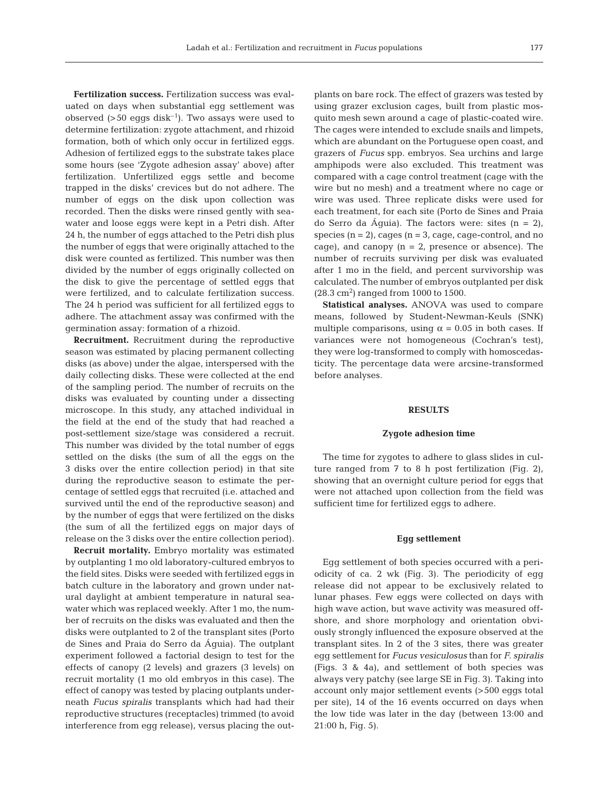**Fertilization success.** Fertilization success was evaluated on days when substantial egg settlement was observed  $(>50 \text{ eggs disk}^{-1})$ . Two assays were used to determine fertilization: zygote attachment, and rhizoid formation, both of which only occur in fertilized eggs. Adhesion of fertilized eggs to the substrate takes place some hours (see 'Zygote adhesion assay' above) after fertilization. Unfertilized eggs settle and become trapped in the disks' crevices but do not adhere. The number of eggs on the disk upon collection was recorded. Then the disks were rinsed gently with seawater and loose eggs were kept in a Petri dish. After 24 h, the number of eggs attached to the Petri dish plus the number of eggs that were originally attached to the disk were counted as fertilized. This number was then divided by the number of eggs originally collected on the disk to give the percentage of settled eggs that were fertilized, and to calculate fertilization success. The 24 h period was sufficient for all fertilized eggs to adhere. The attachment assay was confirmed with the germination assay: formation of a rhizoid.

**Recruitment.** Recruitment during the reproductive season was estimated by placing permanent collecting disks (as above) under the algae, interspersed with the daily collecting disks. These were collected at the end of the sampling period. The number of recruits on the disks was evaluated by counting under a dissecting microscope. In this study, any attached individual in the field at the end of the study that had reached a post-settlement size/stage was considered a recruit. This number was divided by the total number of eggs settled on the disks (the sum of all the eggs on the 3 disks over the entire collection period) in that site during the reproductive season to estimate the percentage of settled eggs that recruited (i.e. attached and survived until the end of the reproductive season) and by the number of eggs that were fertilized on the disks (the sum of all the fertilized eggs on major days of release on the 3 disks over the entire collection period).

**Recruit mortality.** Embryo mortality was estimated by outplanting 1 mo old laboratory-cultured embryos to the field sites. Disks were seeded with fertilized eggs in batch culture in the laboratory and grown under natural daylight at ambient temperature in natural seawater which was replaced weekly. After 1 mo, the number of recruits on the disks was evaluated and then the disks were outplanted to 2 of the transplant sites (Porto de Sines and Praia do Serro da Águia). The outplant experiment followed a factorial design to test for the effects of canopy (2 levels) and grazers (3 levels) on recruit mortality (1 mo old embryos in this case). The effect of canopy was tested by placing outplants underneath *Fucus spiralis* transplants which had had their reproductive structures (receptacles) trimmed (to avoid interference from egg release), versus placing the outplants on bare rock. The effect of grazers was tested by using grazer exclusion cages, built from plastic mosquito mesh sewn around a cage of plastic-coated wire. The cages were intended to exclude snails and limpets, which are abundant on the Portuguese open coast, and grazers of *Fucus* spp. embryos. Sea urchins and large amphipods were also excluded. This treatment was compared with a cage control treatment (cage with the wire but no mesh) and a treatment where no cage or wire was used. Three replicate disks were used for each treatment, for each site (Porto de Sines and Praia do Serro da Águia). The factors were: sites  $(n = 2)$ , species  $(n = 2)$ , cages  $(n = 3, \text{cage}, \text{cage-control}, \text{and no})$ cage), and canopy  $(n = 2)$ , presence or absence). The number of recruits surviving per disk was evaluated after 1 mo in the field, and percent survivorship was calculated. The number of embryos outplanted per disk  $(28.3 \text{ cm}^2)$  ranged from 1000 to 1500.

**Statistical analyses.** ANOVA was used to compare means, followed by Student-Newman-Keuls (SNK) multiple comparisons, using  $\alpha = 0.05$  in both cases. If variances were not homogeneous (Cochran's test), they were log-transformed to comply with homoscedasticity. The percentage data were arcsine-transformed before analyses.

# **RESULTS**

#### **Zygote adhesion time**

The time for zygotes to adhere to glass slides in culture ranged from 7 to 8 h post fertilization (Fig. 2), showing that an overnight culture period for eggs that were not attached upon collection from the field was sufficient time for fertilized eggs to adhere.

## **Egg settlement**

Egg settlement of both species occurred with a periodicity of ca. 2 wk (Fig. 3). The periodicity of egg release did not appear to be exclusively related to lunar phases. Few eggs were collected on days with high wave action, but wave activity was measured offshore, and shore morphology and orientation obviously strongly influenced the exposure observed at the transplant sites. In 2 of the 3 sites, there was greater egg settlement for *Fucus vesiculosus* than for *F. spiralis* (Figs. 3 & 4a), and settlement of both species was always very patchy (see large SE in Fig. 3). Taking into account only major settlement events (>500 eggs total per site), 14 of the 16 events occurred on days when the low tide was later in the day (between 13:00 and 21:00 h, Fig. 5).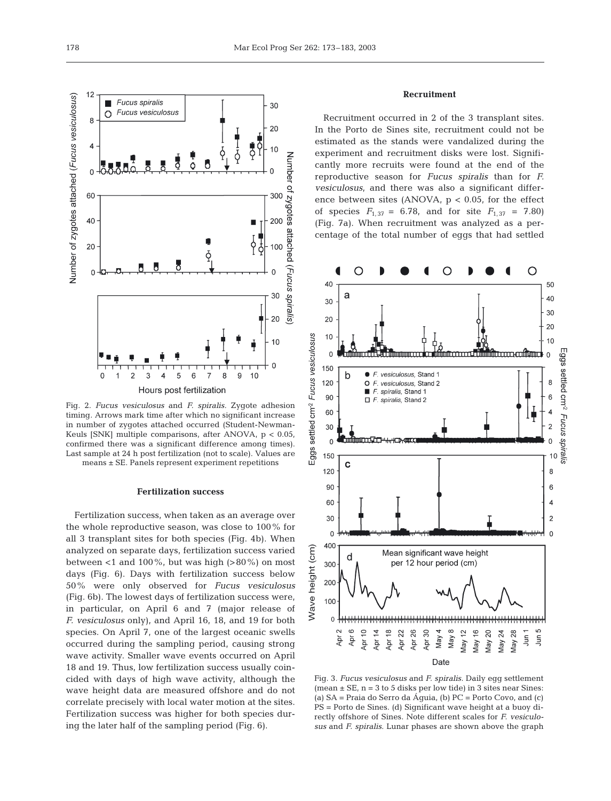30

20

 $10$ 

300

200

100

30

20

 $10$ 

 $\overline{0}$ 

Number of zygotes

attached

(Fucus spiralis)



means ± SE. Panels represent experiment repetitions

#### **Fertilization success**

Fertilization success, when taken as an average over the whole reproductive season, was close to 100% for all 3 transplant sites for both species (Fig. 4b). When analyzed on separate days, fertilization success varied between  $<$ 1 and 100%, but was high (>80%) on most days (Fig. 6). Days with fertilization success below 50% were only observed for *Fucus vesiculosus* (Fig. 6b). The lowest days of fertilization success were, in particular, on April 6 and 7 (major release of *F. vesiculosus* only), and April 16, 18, and 19 for both species. On April 7, one of the largest oceanic swells occurred during the sampling period, causing strong wave activity. Smaller wave events occurred on April 18 and 19. Thus, low fertilization success usually coincided with days of high wave activity, although the wave height data are measured offshore and do not correlate precisely with local water motion at the sites. Fertilization success was higher for both species during the later half of the sampling period (Fig. 6).

# **Recruitment**

Recruitment occurred in 2 of the 3 transplant sites. In the Porto de Sines site, recruitment could not be estimated as the stands were vandalized during the experiment and recruitment disks were lost. Significantly more recruits were found at the end of the reproductive season for *Fucus spiralis* than for *F. vesiculosus*, and there was also a significant difference between sites (ANOVA,  $p < 0.05$ , for the effect of species  $F_{1,37} = 6.78$ , and for site  $F_{1,37} = 7.80$ (Fig. 7a). When recruitment was analyzed as a percentage of the total number of eggs that had settled



Fig. 3. *Fucus vesiculosus* and *F. spiralis.* Daily egg settlement (mean  $\pm$  SE, n = 3 to 5 disks per low tide) in 3 sites near Sines: (a) SA = Praia do Serro da Águia, (b) PC = Porto Covo, and (c) PS = Porto de Sines. (d) Significant wave height at a buoy directly offshore of Sines. Note different scales for *F. vesiculosus* and *F. spiralis.* Lunar phases are shown above the graph

Fucus spiralis

Ω 8

 $\overline{4}$ 

 $\Omega$ 

60

40

20

 $\mathcal{C}$ 

Fucus vesiculosus

Number of zygotes attached (Fucus vesiculosus)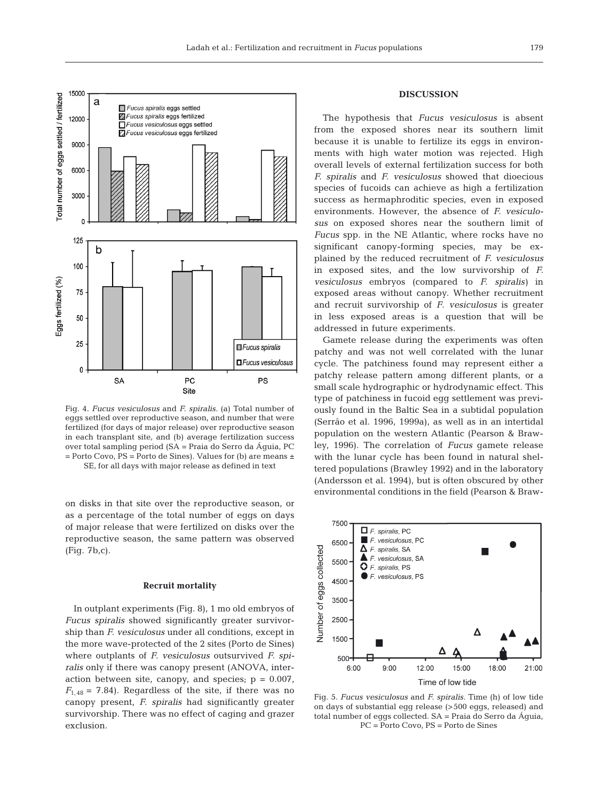

Fig. 4. *Fucus vesiculosus* and *F. spiralis.* (a) Total number of eggs settled over reproductive season, and number that were fertilized (for days of major release) over reproductive season in each transplant site, and (b) average fertilization success over total sampling period (SA = Praia do Serro da Águia, PC  $=$  Porto Covo,  $PS =$  Porto de Sines). Values for (b) are means  $\pm$ SE, for all days with major release as defined in text

on disks in that site over the reproductive season, or as a percentage of the total number of eggs on days of major release that were fertilized on disks over the reproductive season, the same pattern was observed (Fig. 7b,c).

#### **Recruit mortality**

In outplant experiments (Fig. 8), 1 mo old embryos of *Fucus spiralis* showed significantly greater survivorship than *F. vesiculosus* under all conditions, except in the more wave-protected of the 2 sites (Porto de Sines) where outplants of *F. vesiculosus* outsurvived *F. spiralis* only if there was canopy present (ANOVA, interaction between site, canopy, and species;  $p = 0.007$ ,  $F_{1,48}$  = 7.84). Regardless of the site, if there was no canopy present, *F. spiralis* had significantly greater survivorship. There was no effect of caging and grazer exclusion.

## **DISCUSSION**

The hypothesis that *Fucus vesiculosus* is absent from the exposed shores near its southern limit because it is unable to fertilize its eggs in environments with high water motion was rejected. High overall levels of external fertilization success for both *F. spiralis* and *F. vesiculosus* showed that dioecious species of fucoids can achieve as high a fertilization success as hermaphroditic species, even in exposed environments. However, the absence of *F. vesiculosus* on exposed shores near the southern limit of *Fucus* spp. in the NE Atlantic, where rocks have no significant canopy-forming species, may be explained by the reduced recruitment of *F. vesiculosus* in exposed sites, and the low survivorship of *F. vesiculosus* embryos (compared to *F. spiralis)* in exposed areas without canopy. Whether recruitment and recruit survivorship of *F*. *vesiculosus* is greater in less exposed areas is a question that will be addressed in future experiments.

Gamete release during the experiments was often patchy and was not well correlated with the lunar cycle. The patchiness found may represent either a patchy release pattern among different plants, or a small scale hydrographic or hydrodynamic effect. This type of patchiness in fucoid egg settlement was previously found in the Baltic Sea in a subtidal population (Serrão et al. 1996, 1999a), as well as in an intertidal population on the western Atlantic (Pearson & Brawley, 1996). The correlation of *Fucus* gamete release with the lunar cycle has been found in natural sheltered populations (Brawley 1992) and in the laboratory (Andersson et al. 1994), but is often obscured by other environmental conditions in the field (Pearson & Braw-



Fig. 5. *Fucus vesiculosus* and *F. spiralis.* Time (h) of low tide on days of substantial egg release (>500 eggs, released) and total number of eggs collected. SA = Praia do Serro da Águia, PC = Porto Covo, PS = Porto de Sines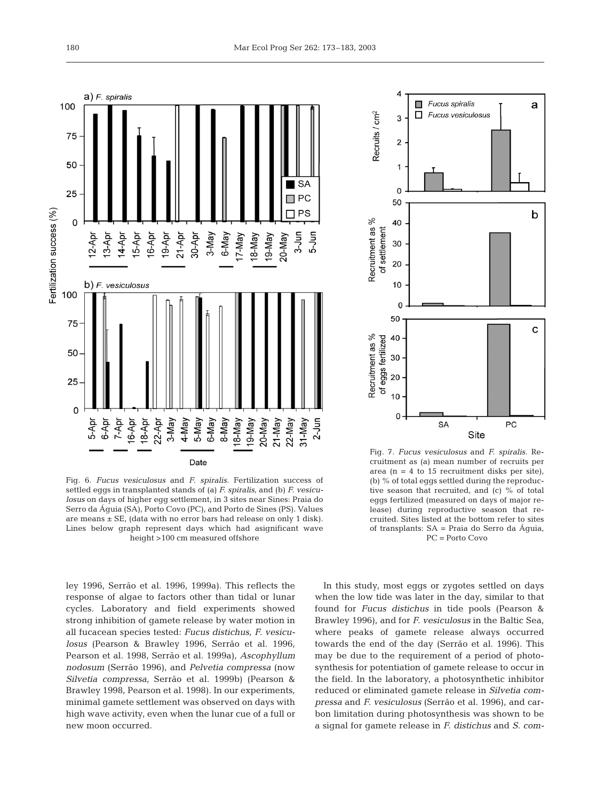

Fig. 6. *Fucus vesiculosus* and *F. spiralis.* Fertilization success of settled eggs in transplanted stands of (a) *F. spiralis*, and (b) *F. vesiculosus* on days of higher egg settlement, in 3 sites near Sines: Praia do Serro da Águia (SA), Porto Covo (PC), and Porto de Sines (PS). Values are means  $\pm$  SE, (data with no error bars had release on only 1 disk). Lines below graph represent days which had asignificant wave height >100 cm measured offshore

ley 1996, Serrão et al. 1996, 1999a). This reflects the response of algae to factors other than tidal or lunar cycles. Laboratory and field experiments showed strong inhibition of gamete release by water motion in all fucacean species tested: *Fucus distichus*, *F. vesiculosus* (Pearson & Brawley 1996, Serrão et al. 1996, Pearson et al. 1998, Serrão et al. 1999a), *Ascophyllum nodosum* (Serrão 1996), and *Pelvetia compressa* (now *Silvetia compressa*, Serrão et al. 1999b) (Pearson & Brawley 1998, Pearson et al. 1998). In our experiments, minimal gamete settlement was observed on days with high wave activity, even when the lunar cue of a full or new moon occurred.



Fig. 7. *Fucus vesiculosus* and *F. spiralis.* Recruitment as (a) mean number of recruits per area (n = 4 to 15 recruitment disks per site), (b) % of total eggs settled during the reproductive season that recruited, and (c) % of total eggs fertilized (measured on days of major release) during reproductive season that recruited. Sites listed at the bottom refer to sites of transplants: SA = Praia do Serro da Águia, PC = Porto Covo

In this study, most eggs or zygotes settled on days when the low tide was later in the day, similar to that found for *Fucus distichus* in tide pools (Pearson & Brawley 1996), and for *F. vesiculosus* in the Baltic Sea, where peaks of gamete release always occurred towards the end of the day (Serrão et al. 1996). This may be due to the requirement of a period of photosynthesis for potentiation of gamete release to occur in the field. In the laboratory, a photosynthetic inhibitor reduced or eliminated gamete release in *Silvetia compressa* and *F. vesiculosus* (Serrão et al. 1996), and carbon limitation during photosynthesis was shown to be a signal for gamete release in *F. distichus* and *S. com-*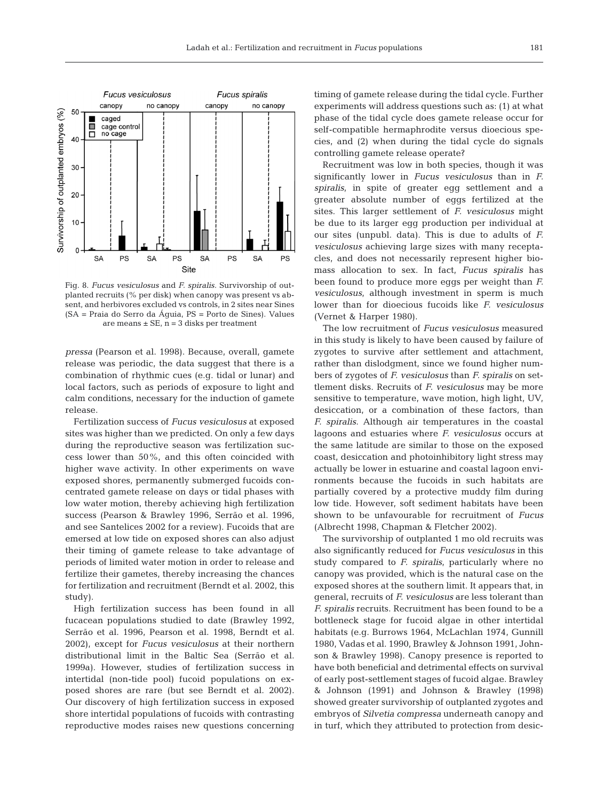

Fig. 8. *Fucus vesiculosus* and *F. spiralis.* Survivorship of outplanted recruits (% per disk) when canopy was present vs absent, and herbivores excluded vs controls, in 2 sites near Sines (SA = Praia do Serro da Águia, PS = Porto de Sines). Values are means  $\pm$  SE, n = 3 disks per treatment

*pressa* (Pearson et al. 1998). Because, overall, gamete release was periodic, the data suggest that there is a combination of rhythmic cues (e.g. tidal or lunar) and local factors, such as periods of exposure to light and calm conditions, necessary for the induction of gamete release.

Fertilization success of *Fucus vesiculosus* at exposed sites was higher than we predicted. On only a few days during the reproductive season was fertilization success lower than 50%, and this often coincided with higher wave activity. In other experiments on wave exposed shores, permanently submerged fucoids concentrated gamete release on days or tidal phases with low water motion, thereby achieving high fertilization success (Pearson & Brawley 1996, Serrão et al. 1996, and see Santelices 2002 for a review). Fucoids that are emersed at low tide on exposed shores can also adjust their timing of gamete release to take advantage of periods of limited water motion in order to release and fertilize their gametes, thereby increasing the chances for fertilization and recruitment (Berndt et al. 2002, this study).

High fertilization success has been found in all fucacean populations studied to date (Brawley 1992, Serrão et al. 1996, Pearson et al. 1998, Berndt et al. 2002), except for *Fucus vesiculosus* at their northern distributional limit in the Baltic Sea (Serrão et al. 1999a). However, studies of fertilization success in intertidal (non-tide pool) fucoid populations on exposed shores are rare (but see Berndt et al. 2002). Our discovery of high fertilization success in exposed shore intertidal populations of fucoids with contrasting reproductive modes raises new questions concerning

timing of gamete release during the tidal cycle. Further experiments will address questions such as: (1) at what phase of the tidal cycle does gamete release occur for self-compatible hermaphrodite versus dioecious species, and (2) when during the tidal cycle do signals controlling gamete release operate?

Recruitment was low in both species, though it was significantly lower in *Fucus vesiculosus* than in *F. spiralis*, in spite of greater egg settlement and a greater absolute number of eggs fertilized at the sites. This larger settlement of *F. vesiculosus* might be due to its larger egg production per individual at our sites (unpubl. data). This is due to adults of *F. vesiculosus* achieving large sizes with many receptacles, and does not necessarily represent higher biomass allocation to sex. In fact, *Fucus spiralis* has been found to produce more eggs per weight than *F. vesiculosus*, although investment in sperm is much lower than for dioecious fucoids like *F. vesiculosus* (Vernet & Harper 1980).

The low recruitment of *Fucus vesiculosus* measured in this study is likely to have been caused by failure of zygotes to survive after settlement and attachment, rather than dislodgment, since we found higher numbers of zygotes of *F. vesiculosus* than *F. spiralis* on settlement disks. Recruits of *F. vesiculosus* may be more sensitive to temperature, wave motion, high light, UV, desiccation, or a combination of these factors, than *F. spiralis*. Although air temperatures in the coastal lagoons and estuaries where *F. vesiculosus* occurs at the same latitude are similar to those on the exposed coast, desiccation and photoinhibitory light stress may actually be lower in estuarine and coastal lagoon environments because the fucoids in such habitats are partially covered by a protective muddy film during low tide. However, soft sediment habitats have been shown to be unfavourable for recruitment of *Fucus* (Albrecht 1998, Chapman & Fletcher 2002).

The survivorship of outplanted 1 mo old recruits was also significantly reduced for *Fucus vesiculosus* in this study compared to *F. spiralis*, particularly where no canopy was provided, which is the natural case on the exposed shores at the southern limit. It appears that, in general, recruits of *F. vesiculosus* are less tolerant than *F. spiralis* recruits. Recruitment has been found to be a bottleneck stage for fucoid algae in other intertidal habitats (e.g. Burrows 1964, McLachlan 1974, Gunnill 1980, Vadas et al. 1990, Brawley & Johnson 1991, Johnson & Brawley 1998). Canopy presence is reported to have both beneficial and detrimental effects on survival of early post-settlement stages of fucoid algae. Brawley & Johnson (1991) and Johnson & Brawley (1998) showed greater survivorship of outplanted zygotes and embryos of *Silvetia compressa* underneath canopy and in turf, which they attributed to protection from desic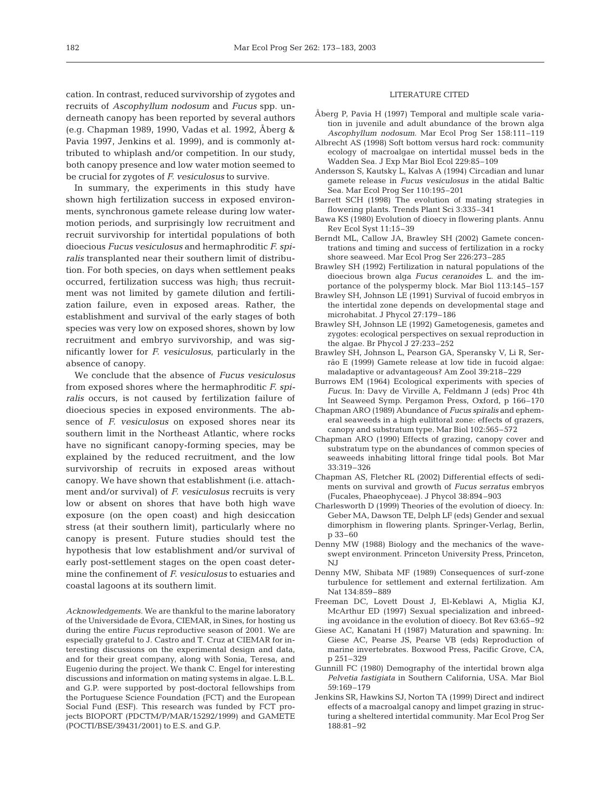cation. In contrast, reduced survivorship of zygotes and recruits of *Ascophyllum nodosum* and *Fucus* spp. underneath canopy has been reported by several authors (e.g. Chapman 1989, 1990, Vadas et al. 1992, Åberg & Pavia 1997, Jenkins et al. 1999), and is commonly attributed to whiplash and/or competition. In our study, both canopy presence and low water motion seemed to be crucial for zygotes of *F. vesiculosus* to survive.

In summary, the experiments in this study have shown high fertilization success in exposed environments, synchronous gamete release during low watermotion periods, and surprisingly low recruitment and recruit survivorship for intertidal populations of both dioecious *Fucus vesiculosus* and hermaphroditic *F. spiralis* transplanted near their southern limit of distribution. For both species, on days when settlement peaks occurred, fertilization success was high; thus recruitment was not limited by gamete dilution and fertilization failure, even in exposed areas. Rather, the establishment and survival of the early stages of both species was very low on exposed shores, shown by low recruitment and embryo survivorship, and was significantly lower for *F. vesiculosus*, particularly in the absence of canopy.

We conclude that the absence of *Fucus vesiculosus* from exposed shores where the hermaphroditic *F. spiralis* occurs, is not caused by fertilization failure of dioecious species in exposed environments. The absence of *F. vesiculosus* on exposed shores near its southern limit in the Northeast Atlantic, where rocks have no significant canopy-forming species, may be explained by the reduced recruitment, and the low survivorship of recruits in exposed areas without canopy. We have shown that establishment (i.e. attachment and/or survival) of *F. vesiculosus* recruits is very low or absent on shores that have both high wave exposure (on the open coast) and high desiccation stress (at their southern limit), particularly where no canopy is present. Future studies should test the hypothesis that low establishment and/or survival of early post-settlement stages on the open coast determine the confinement of *F. vesiculosus* to estuaries and coastal lagoons at its southern limit.

*Acknowledgements.* We are thankful to the marine laboratory of the Universidade de Évora, CIEMAR, in Sines, for hosting us during the entire *Fucus* reproductive season of 2001. We are especially grateful to J. Castro and T. Cruz at CIEMAR for interesting discussions on the experimental design and data, and for their great company, along with Sonia, Teresa, and Eugenio during the project. We thank C. Engel for interesting discussions and information on mating systems in algae. L.B.L. and G.P. were supported by post-doctoral fellowships from the Portuguese Science Foundation (FCT) and the European Social Fund (ESF). This research was funded by FCT projects BIOPORT (PDCTM/P/MAR/15292/1999) and GAMETE (POCTI/BSE/39431/2001) to E.S. and G.P.

#### LITERATURE CITED

- Åberg P, Pavia H (1997) Temporal and multiple scale variation in juvenile and adult abundance of the brown alga *Ascophyllum nodosum*. Mar Ecol Prog Ser 158:111–119
- Albrecht AS (1998) Soft bottom versus hard rock: community ecology of macroalgae on intertidal mussel beds in the Wadden Sea. J Exp Mar Biol Ecol 229:85–109
- Andersson S, Kautsky L, Kalvas A (1994) Circadian and lunar gamete release in *Fucus vesiculosus* in the atidal Baltic Sea. Mar Ecol Prog Ser 110:195–201
- Barrett SCH (1998) The evolution of mating strategies in flowering plants. Trends Plant Sci 3:335–341
- Bawa KS (1980) Evolution of dioecy in flowering plants. Annu Rev Ecol Syst 11:15–39
- Berndt ML, Callow JA, Brawley SH (2002) Gamete concentrations and timing and success of fertilization in a rocky shore seaweed. Mar Ecol Prog Ser 226:273–285
- Brawley SH (1992) Fertilization in natural populations of the dioecious brown alga *Fucus ceranoides* L. and the importance of the polyspermy block. Mar Biol 113:145–157
- Brawley SH, Johnson LE (1991) Survival of fucoid embryos in the intertidal zone depends on developmental stage and microhabitat. J Phycol 27:179–186
- Brawley SH, Johnson LE (1992) Gametogenesis, gametes and zygotes: ecological perspectives on sexual reproduction in the algae. Br Phycol J 27:233–252
- Brawley SH, Johnson L, Pearson GA, Speransky V, Li R, Serrão E (1999) Gamete release at low tide in fucoid algae: maladaptive or advantageous? Am Zool 39:218–229
- Burrows EM (1964) Ecological experiments with species of *Fucus*. In: Davy de Virville A, Feldmann J (eds) Proc 4th Int Seaweed Symp. Pergamon Press, Oxford, p 166–170
- Chapman ARO (1989) Abundance of *Fucus spiralis* and ephemeral seaweeds in a high eulittoral zone: effects of grazers, canopy and substratum type. Mar Biol 102:565–572
- Chapman ARO (1990) Effects of grazing, canopy cover and substratum type on the abundances of common species of seaweeds inhabiting littoral fringe tidal pools. Bot Mar 33:319–326
- Chapman AS, Fletcher RL (2002) Differential effects of sediments on survival and growth of *Fucus serratus* embryos (Fucales, Phaeophyceae). J Phycol 38:894–903
- Charlesworth D (1999) Theories of the evolution of dioecy. In: Geber MA, Dawson TE, Delph LF (eds) Gender and sexual dimorphism in flowering plants. Springer-Verlag, Berlin, p 33–60
- Denny MW (1988) Biology and the mechanics of the waveswept environment. Princeton University Press, Princeton, N<sub>J</sub>
- Denny MW, Shibata MF (1989) Consequences of surf-zone turbulence for settlement and external fertilization. Am Nat 134:859–889
- Freeman DC, Lovett Doust J, El-Keblawi A, Miglia KJ, McArthur ED (1997) Sexual specialization and inbreeding avoidance in the evolution of dioecy. Bot Rev 63:65–92
- Giese AC, Kanatani H (1987) Maturation and spawning. In: Giese AC, Pearse JS, Pearse VB (eds) Reproduction of marine invertebrates. Boxwood Press, Pacific Grove, CA, p 251–329
- Gunnill FC (1980) Demography of the intertidal brown alga *Pelvetia fastigiata* in Southern California, USA. Mar Biol 59:169–179
- Jenkins SR, Hawkins SJ, Norton TA (1999) Direct and indirect effects of a macroalgal canopy and limpet grazing in structuring a sheltered intertidal community. Mar Ecol Prog Ser 188:81–92